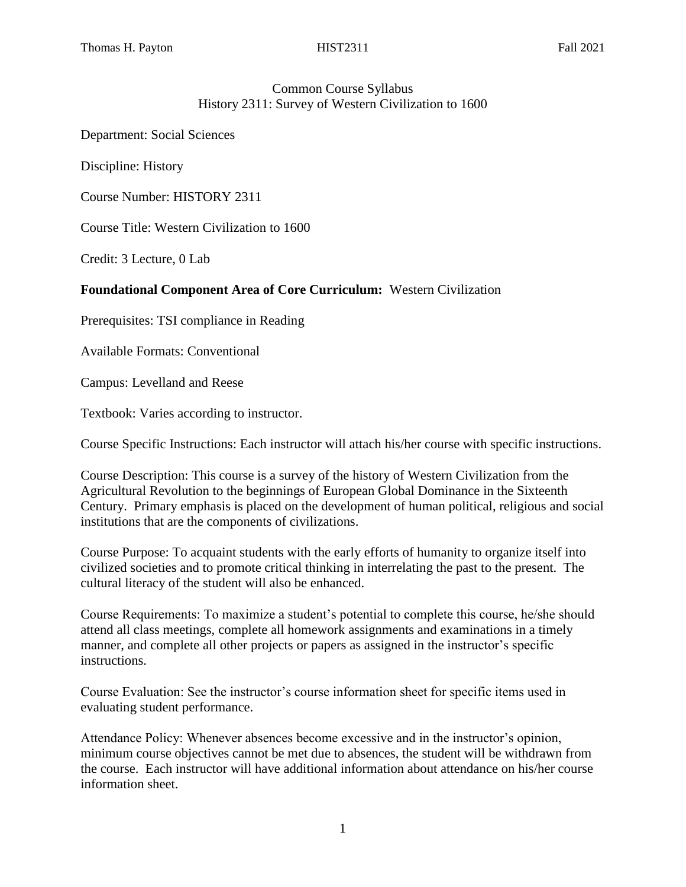# Common Course Syllabus History 2311: Survey of Western Civilization to 1600

Department: Social Sciences

Discipline: History

Course Number: HISTORY 2311

Course Title: Western Civilization to 1600

Credit: 3 Lecture, 0 Lab

## **Foundational Component Area of Core Curriculum:** Western Civilization

Prerequisites: TSI compliance in Reading

Available Formats: Conventional

Campus: Levelland and Reese

Textbook: Varies according to instructor.

Course Specific Instructions: Each instructor will attach his/her course with specific instructions.

Course Description: This course is a survey of the history of Western Civilization from the Agricultural Revolution to the beginnings of European Global Dominance in the Sixteenth Century. Primary emphasis is placed on the development of human political, religious and social institutions that are the components of civilizations.

Course Purpose: To acquaint students with the early efforts of humanity to organize itself into civilized societies and to promote critical thinking in interrelating the past to the present. The cultural literacy of the student will also be enhanced.

Course Requirements: To maximize a student's potential to complete this course, he/she should attend all class meetings, complete all homework assignments and examinations in a timely manner, and complete all other projects or papers as assigned in the instructor's specific instructions.

Course Evaluation: See the instructor's course information sheet for specific items used in evaluating student performance.

Attendance Policy: Whenever absences become excessive and in the instructor's opinion, minimum course objectives cannot be met due to absences, the student will be withdrawn from the course. Each instructor will have additional information about attendance on his/her course information sheet.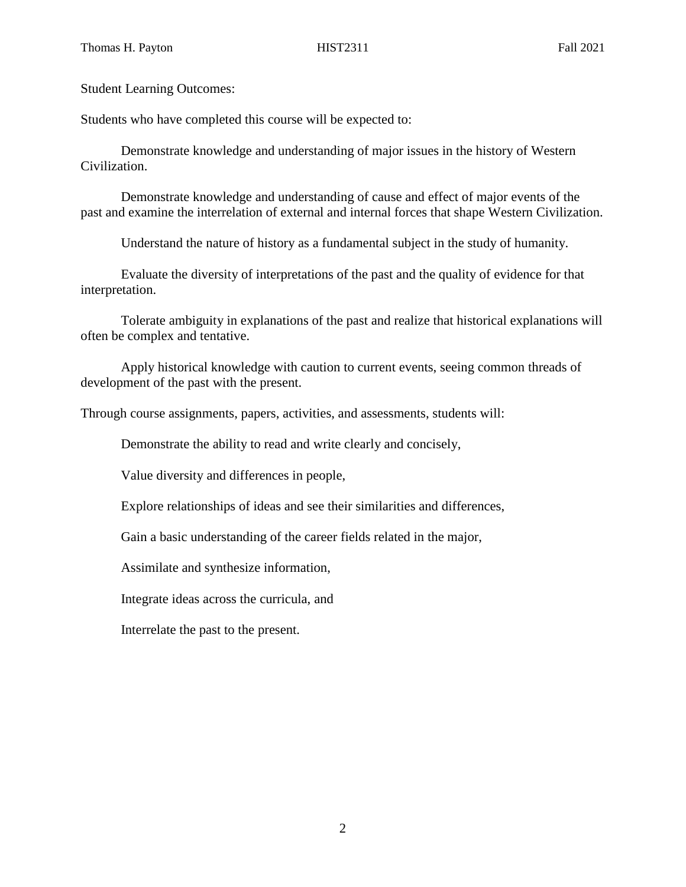Student Learning Outcomes:

Students who have completed this course will be expected to:

Demonstrate knowledge and understanding of major issues in the history of Western Civilization.

Demonstrate knowledge and understanding of cause and effect of major events of the past and examine the interrelation of external and internal forces that shape Western Civilization.

Understand the nature of history as a fundamental subject in the study of humanity.

Evaluate the diversity of interpretations of the past and the quality of evidence for that interpretation.

Tolerate ambiguity in explanations of the past and realize that historical explanations will often be complex and tentative.

Apply historical knowledge with caution to current events, seeing common threads of development of the past with the present.

Through course assignments, papers, activities, and assessments, students will:

Demonstrate the ability to read and write clearly and concisely,

Value diversity and differences in people,

Explore relationships of ideas and see their similarities and differences,

Gain a basic understanding of the career fields related in the major,

Assimilate and synthesize information,

Integrate ideas across the curricula, and

Interrelate the past to the present.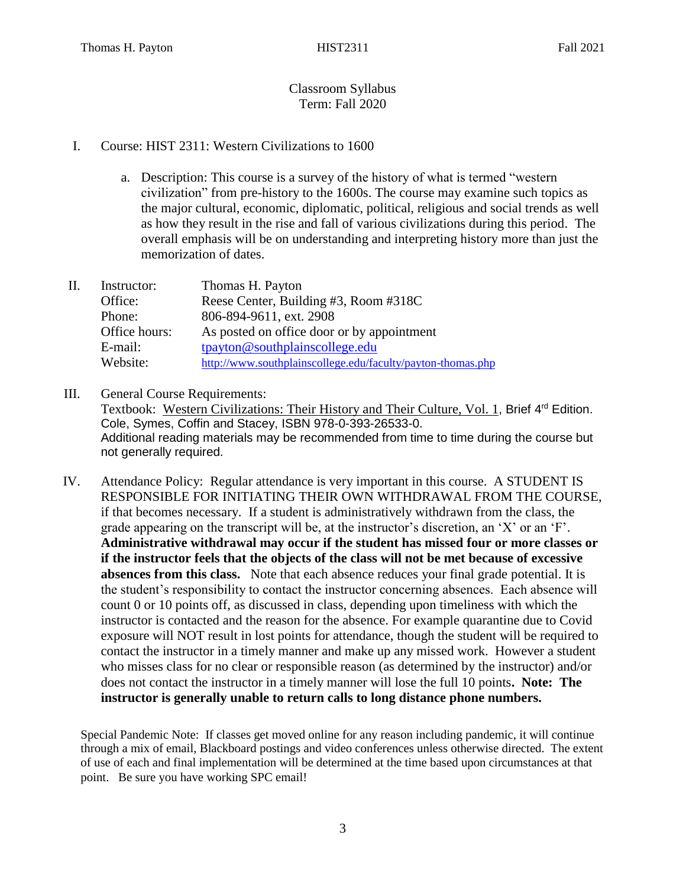# Classroom Syllabus Term: Fall 2020

## I. Course: HIST 2311: Western Civilizations to 1600

a. Description: This course is a survey of the history of what is termed "western civilization" from pre-history to the 1600s. The course may examine such topics as the major cultural, economic, diplomatic, political, religious and social trends as well as how they result in the rise and fall of various civilizations during this period. The overall emphasis will be on understanding and interpreting history more than just the memorization of dates.

| П. | Instructor:   | Thomas H. Payton                                            |
|----|---------------|-------------------------------------------------------------|
|    | Office:       | Reese Center, Building #3, Room #318C                       |
|    | Phone:        | 806-894-9611, ext. 2908                                     |
|    | Office hours: | As posted on office door or by appointment                  |
|    | E-mail:       | tpayton@southplainscollege.edu                              |
|    | Website:      | http://www.southplainscollege.edu/faculty/payton-thomas.php |

- III. General Course Requirements: Textbook: Western Civilizations: Their History and Their Culture, Vol. 1, Brief 4<sup>rd</sup> Edition. Cole, Symes, Coffin and Stacey, ISBN 978-0-393-26533-0. Additional reading materials may be recommended from time to time during the course but not generally required.
- IV. Attendance Policy: Regular attendance is very important in this course. A STUDENT IS RESPONSIBLE FOR INITIATING THEIR OWN WITHDRAWAL FROM THE COURSE, if that becomes necessary. If a student is administratively withdrawn from the class, the grade appearing on the transcript will be, at the instructor's discretion, an 'X' or an 'F'. **Administrative withdrawal may occur if the student has missed four or more classes or if the instructor feels that the objects of the class will not be met because of excessive absences from this class.** Note that each absence reduces your final grade potential. It is the student's responsibility to contact the instructor concerning absences. Each absence will count 0 or 10 points off, as discussed in class, depending upon timeliness with which the instructor is contacted and the reason for the absence. For example quarantine due to Covid exposure will NOT result in lost points for attendance, though the student will be required to contact the instructor in a timely manner and make up any missed work. However a student who misses class for no clear or responsible reason (as determined by the instructor) and/or does not contact the instructor in a timely manner will lose the full 10 points**. Note: The instructor is generally unable to return calls to long distance phone numbers.**

Special Pandemic Note: If classes get moved online for any reason including pandemic, it will continue through a mix of email, Blackboard postings and video conferences unless otherwise directed. The extent of use of each and final implementation will be determined at the time based upon circumstances at that point. Be sure you have working SPC email!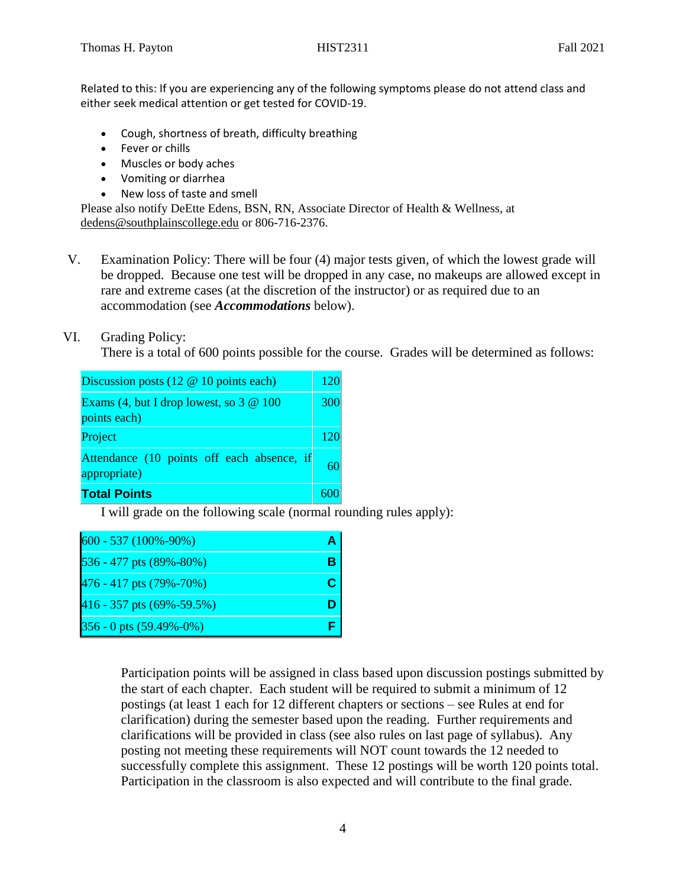Related to this: If you are experiencing any of the following symptoms please do not attend class and either seek medical attention or get tested for COVID-19.

- Cough, shortness of breath, difficulty breathing
- Fever or chills
- Muscles or body aches
- Vomiting or diarrhea
- New loss of taste and smell

Please also notify DeEtte Edens, BSN, RN, Associate Director of Health & Wellness, at [dedens@southplainscollege.edu](mailto:dedens@southplainscollege.edu) or 806-716-2376.

V. Examination Policy: There will be four (4) major tests given, of which the lowest grade will be dropped. Because one test will be dropped in any case, no makeups are allowed except in rare and extreme cases (at the discretion of the instructor) or as required due to an accommodation (see *Accommodations* below).

## VI. Grading Policy:

There is a total of 600 points possible for the course. Grades will be determined as follows:

| Discussion posts $(12 \& 10 \text{ points each})$          |    |  |
|------------------------------------------------------------|----|--|
| Exams (4, but I drop lowest, so $3 \& 100$<br>points each) |    |  |
| Project                                                    |    |  |
| Attendance (10 points off each absence, if<br>appropriate) | 60 |  |
| <b>Total Points</b>                                        |    |  |

I will grade on the following scale (normal rounding rules apply):

| $600 - 537(100\% - 90\%)$       |  |
|---------------------------------|--|
| 536 - 477 pts (89%-80%)         |  |
| 476 - 417 pts (79%-70%)         |  |
| 416 - 357 pts $(69\% - 59.5\%)$ |  |
| $356 - 0$ pts $(59.49\% - 0\%)$ |  |

Participation points will be assigned in class based upon discussion postings submitted by the start of each chapter. Each student will be required to submit a minimum of 12 postings (at least 1 each for 12 different chapters or sections – see Rules at end for clarification) during the semester based upon the reading. Further requirements and clarifications will be provided in class (see also rules on last page of syllabus). Any posting not meeting these requirements will NOT count towards the 12 needed to successfully complete this assignment. These 12 postings will be worth 120 points total. Participation in the classroom is also expected and will contribute to the final grade.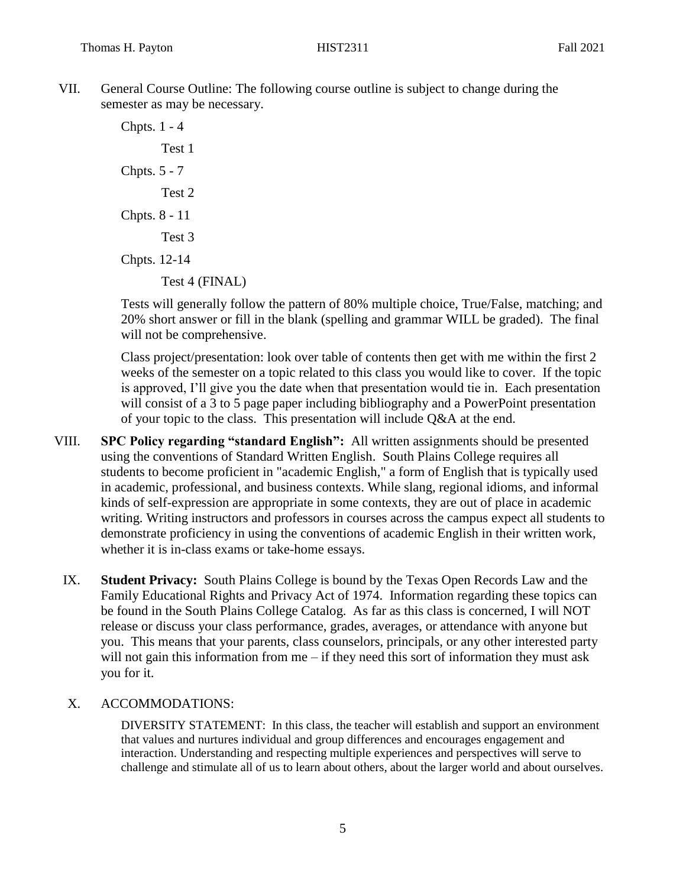VII. General Course Outline: The following course outline is subject to change during the semester as may be necessary.

> Chpts. 1 - 4 Test 1 Chpts. 5 - 7 Test 2 Chpts. 8 - 11 Test 3 Chpts. 12-14 Test 4 (FINAL)

Tests will generally follow the pattern of 80% multiple choice, True/False, matching; and 20% short answer or fill in the blank (spelling and grammar WILL be graded). The final will not be comprehensive.

Class project/presentation: look over table of contents then get with me within the first 2 weeks of the semester on a topic related to this class you would like to cover. If the topic is approved, I'll give you the date when that presentation would tie in. Each presentation will consist of a 3 to 5 page paper including bibliography and a PowerPoint presentation of your topic to the class. This presentation will include Q&A at the end.

- VIII. **SPC Policy regarding "standard English":** All written assignments should be presented using the conventions of Standard Written English. South Plains College requires all students to become proficient in "academic English," a form of English that is typically used in academic, professional, and business contexts. While slang, regional idioms, and informal kinds of self-expression are appropriate in some contexts, they are out of place in academic writing. Writing instructors and professors in courses across the campus expect all students to demonstrate proficiency in using the conventions of academic English in their written work, whether it is in-class exams or take-home essays.
	- IX. **Student Privacy:** South Plains College is bound by the Texas Open Records Law and the Family Educational Rights and Privacy Act of 1974. Information regarding these topics can be found in the South Plains College Catalog. As far as this class is concerned, I will NOT release or discuss your class performance, grades, averages, or attendance with anyone but you. This means that your parents, class counselors, principals, or any other interested party will not gain this information from me – if they need this sort of information they must ask you for it.

## X. ACCOMMODATIONS:

DIVERSITY STATEMENT: In this class, the teacher will establish and support an environment that values and nurtures individual and group differences and encourages engagement and interaction. Understanding and respecting multiple experiences and perspectives will serve to challenge and stimulate all of us to learn about others, about the larger world and about ourselves.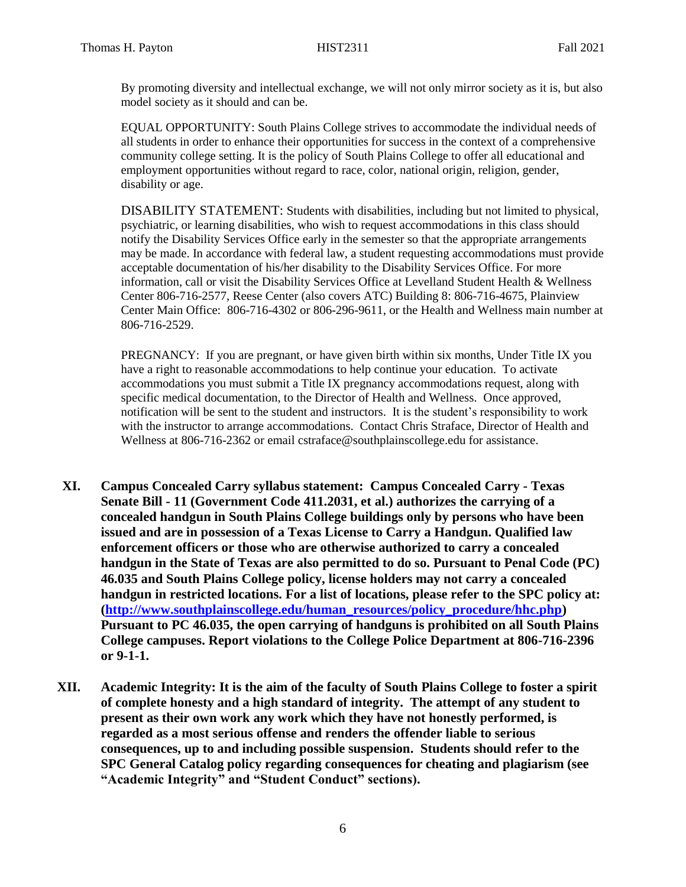By promoting diversity and intellectual exchange, we will not only mirror society as it is, but also model society as it should and can be.

EQUAL OPPORTUNITY: South Plains College strives to accommodate the individual needs of all students in order to enhance their opportunities for success in the context of a comprehensive community college setting. It is the policy of South Plains College to offer all educational and employment opportunities without regard to race, color, national origin, religion, gender, disability or age.

DISABILITY STATEMENT: Students with disabilities, including but not limited to physical, psychiatric, or learning disabilities, who wish to request accommodations in this class should notify the Disability Services Office early in the semester so that the appropriate arrangements may be made. In accordance with federal law, a student requesting accommodations must provide acceptable documentation of his/her disability to the Disability Services Office. For more information, call or visit the Disability Services Office at Levelland Student Health & Wellness Center 806-716-2577, Reese Center (also covers ATC) Building 8: 806-716-4675, Plainview Center Main Office: 806-716-4302 or 806-296-9611, or the Health and Wellness main number at 806-716-2529.

PREGNANCY: If you are pregnant, or have given birth within six months, Under Title IX you have a right to reasonable accommodations to help continue your education. To activate accommodations you must submit a Title IX pregnancy accommodations request, along with specific medical documentation, to the Director of Health and Wellness. Once approved, notification will be sent to the student and instructors. It is the student's responsibility to work with the instructor to arrange accommodations. Contact Chris Straface, Director of Health and Wellness at 806-716-2362 or email [cstraface@southplainscollege.edu](mailto:cstraface@southplainscollege.edu) for assistance.

- **XI. Campus Concealed Carry syllabus statement: Campus Concealed Carry - Texas Senate Bill - 11 (Government Code 411.2031, et al.) authorizes the carrying of a concealed handgun in South Plains College buildings only by persons who have been issued and are in possession of a Texas License to Carry a Handgun. Qualified law enforcement officers or those who are otherwise authorized to carry a concealed handgun in the State of Texas are also permitted to do so. Pursuant to Penal Code (PC) 46.035 and South Plains College policy, license holders may not carry a concealed handgun in restricted locations. For a list of locations, please refer to the SPC policy at: [\(http://www.southplainscollege.edu/human\\_resources/policy\\_procedure/hhc.php\)](http://www.southplainscollege.edu/human_resources/policy_procedure/hhc.php) Pursuant to PC 46.035, the open carrying of handguns is prohibited on all South Plains College campuses. Report violations to the College Police Department at 806-716-2396 or 9-1-1.**
- **XII. Academic Integrity: It is the aim of the faculty of South Plains College to foster a spirit of complete honesty and a high standard of integrity. The attempt of any student to present as their own work any work which they have not honestly performed, is regarded as a most serious offense and renders the offender liable to serious consequences, up to and including possible suspension. Students should refer to the SPC General Catalog policy regarding consequences for cheating and plagiarism (see "Academic Integrity" and "Student Conduct" sections).**